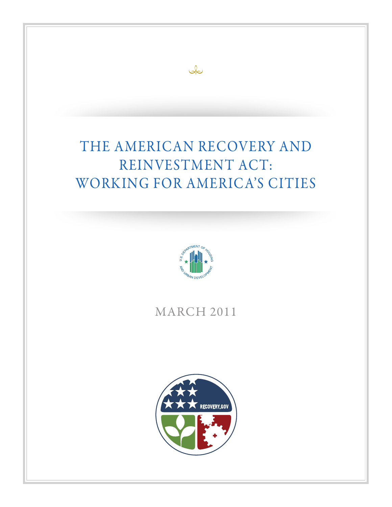### A N N UA L R E P O R T T O MERICAN RECOVER REINVESTMENT ACT: WORKING FOR AMERICA'S CITIES MERICAN RECOVER A N N UA L R E P O R T T O THE AMERICAN RECOVERY AND

 $\infty$ 



# MARCH 2011

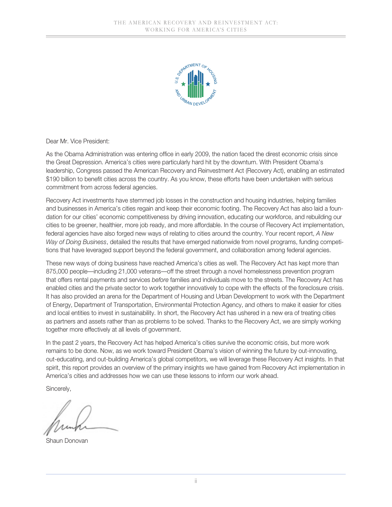

Dear Mr. Vice President:

As the Obama Administration was entering office in early 2009, the nation faced the direst economic crisis since the Great Depression. America's cities were particularly hard hit by the downturn. With President Obama's leadership, Congress passed the American Recovery and Reinvestment Act (Recovery Act), enabling an estimated \$190 billion to benefit cities across the country. As you know, these efforts have been undertaken with serious commitment from across federal agencies.

Recovery Act investments have stemmed job losses in the construction and housing industries, helping families and businesses in America's cities regain and keep their economic footing. The Recovery Act has also laid a foundation for our cities' economic competitiveness by driving innovation, educating our workforce, and rebuilding our cities to be greener, healthier, more job ready, and more affordable. In the course of Recovery Act implementation, federal agencies have also forged new ways of relating to cities around the country. Your recent report, *A New Way of Doing Business*, detailed the results that have emerged nationwide from novel programs, funding competitions that have leveraged support beyond the federal government, and collaboration among federal agencies.

These new ways of doing business have reached America's cities as well. The Recovery Act has kept more than 875,000 people—including 21,000 veterans—off the street through a novel homelessness prevention program that offers rental payments and services *before* families and individuals move to the streets. The Recovery Act has enabled cities and the private sector to work together innovatively to cope with the effects of the foreclosure crisis. It has also provided an arena for the Department of Housing and Urban Development to work with the Department of Energy, Department of Transportation, Environmental Protection Agency, and others to make it easier for cities and local entities to invest in sustainability. In short, the Recovery Act has ushered in a new era of treating cities as partners and assets rather than as problems to be solved. Thanks to the Recovery Act, we are simply working together more effectively at all levels of government.

In the past 2 years, the Recovery Act has helped America's cities survive the economic crisis, but more work remains to be done. Now, as we work toward President Obama's vision of winning the future by out-innovating, out-educating, and out-building America's global competitors, we will leverage these Recovery Act insights. In that spirit, this report provides an overview of the primary insights we have gained from Recovery Act implementation in America's cities and addresses how we can use these lessons to inform our work ahead.

Sincerely,

Shaun Donovan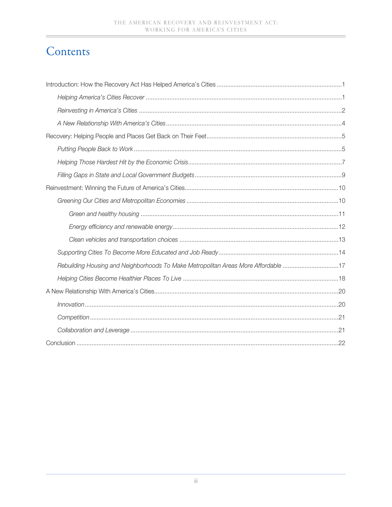# Contents

| Rebuilding Housing and Neighborhoods To Make Metropolitan Areas More Affordable 17 |
|------------------------------------------------------------------------------------|
|                                                                                    |
|                                                                                    |
|                                                                                    |
|                                                                                    |
|                                                                                    |
|                                                                                    |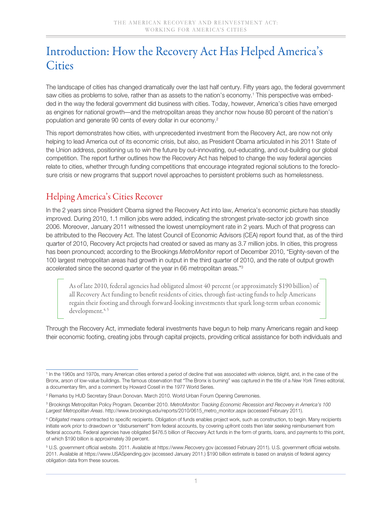## Introduction: How the Recovery Act Has Helped America's **Cities**

The landscape of cities has changed dramatically over the last half century. Fifty years ago, the federal government saw cities as problems to solve, rather than as assets to the nation's economy.1 This perspective was embedded in the way the federal government did business with cities. Today, however, America's cities have emerged as engines for national growth—and the metropolitan areas they anchor now house 80 percent of the nation's population and generate 90 cents of every dollar in our economy.2

This report demonstrates how cities, with unprecedented investment from the Recovery Act, are now not only helping to lead America out of its economic crisis, but also, as President Obama articulated in his 2011 State of the Union address, positioning us to win the future by out-innovating, out-educating, and out-building our global competition. The report further outlines how the Recovery Act has helped to change the way federal agencies relate to cities, whether through funding competitions that encourage integrated regional solutions to the foreclosure crisis or new programs that support novel approaches to persistent problems such as homelessness.

## Helping America's Cities Recover

In the 2 years since President Obama signed the Recovery Act into law, America's economic picture has steadily improved. During 2010, 1.1 million jobs were added, indicating the strongest private-sector job growth since 2006. Moreover, January 2011 witnessed the lowest unemployment rate in 2 years. Much of that progress can be attributed to the Recovery Act. The latest Council of Economic Advisors (CEA) report found that, as of the third quarter of 2010, Recovery Act projects had created or saved as many as 3.7 million jobs. In cities, this progress has been pronounced; according to the Brookings *MetroMonitor* report of December 2010, "Eighty-seven of the 100 largest metropolitan areas had growth in output in the third quarter of 2010, and the rate of output growth accelerated since the second quarter of the year in 66 metropolitan areas."3

As of late 2010, federal agencies had obligated almost 40 percent (or approximately \$190 billion) of all Recovery Act funding to benefit residents of cities, through fast-acting funds to help Americans regain their footing and through forward-looking investments that spark long-term urban economic development.<sup>4, 5</sup>

Through the Recovery Act, immediate federal investments have begun to help many Americans regain and keep their economic footing, creating jobs through capital projects, providing critical assistance for both individuals and

<sup>1</sup> In the 1960s and 1970s, many American cities entered a period of decline that was associated with violence, blight, and, in the case of the Bronx, arson of low-value buildings. The famous observation that "The Bronx is burning" was captured in the title of a *New York Times* editorial, a documentary film, and a comment by Howard Cosell in the 1977 World Series.

<sup>2</sup> Remarks by HUD Secretary Shaun Donovan. March 2010. World Urban Forum Opening Ceremonies.

<sup>&</sup>lt;sup>3</sup> Brookings Metropolitan Policy Program. December 2010. *MetroMonitor: Tracking Economic Recession and Recovery in America's 100 Largest Metropolitan Areas*. http://www.brookings.edu/reports/2010/0615\_metro\_monitor.aspx (accessed February 2011).

<sup>4</sup> *Obligated* means contracted to specific recipients. Obligation of funds enables project work, such as construction, to begin. Many recipients initiate work prior to drawdown or "disbursement" from federal accounts, by covering upfront costs then later seeking reimbursement from federal accounts. Federal agencies have obligated \$476.5 billion of Recovery Act funds in the form of grants, loans, and payments to this point, of which \$190 billion is approximately 39 percent.

<sup>5</sup> U.S. government official website. 2011. Available at https://www.Recovery.gov (accessed February 2011). U.S. government official website. 2011. Available at https://www.USASpending.gov (accessed January 2011.) \$190 billion estimate is based on analysis of federal agency obligation data from these sources.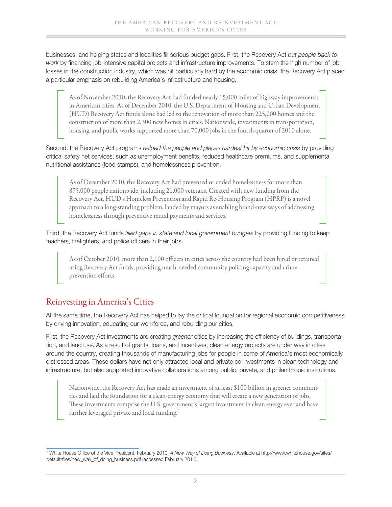businesses, and helping states and localities fill serious budget gaps. First, the Recovery Act *put people back to work* by financing job-intensive capital projects and infrastructure improvements. To stem the high number of job losses in the construction industry, which was hit particularly hard by the economic crisis, the Recovery Act placed a particular emphasis on rebuilding America's infrastructure and housing.

As of November 2010, the Recovery Act had funded nearly 15,000 miles of highway improvements in American cities. As of December 2010, the U.S. Department of Housing and Urban Development (HUD) Recovery Act funds alone had led to the renovation of more than 225,000 homes and the construction of more than 2,300 new homes in cities. Nationwide, investments in transportation, housing, and public works supported more than 70,000 jobs in the fourth quarter of 2010 alone.

Second, the Recovery Act programs *helped the people and places hardest hit by economic crisis* by providing critical safety net services, such as unemployment benefits, reduced healthcare premiums, and supplemental nutritional assistance (food stamps), and homelessness prevention.

As of December 2010, the Recovery Act had prevented or ended homelessness for more than 875,000 people nationwide, including 21,000 veterans. Created with new funding from the Recovery Act, HUD's Homeless Prevention and Rapid Re-Housing Program (HPRP) is a novel approach to a long-standing problem, lauded by mayors as enabling brand-new ways of addressing homelessness through preventive rental payments and services.

Third, the Recovery Act funds *filled gaps in state and local government budgets* by providing funding to keep teachers, firefighters, and police officers in their jobs.

As of October 2010, more than 2,100 officers in cities across the country had been hired or retained using Recovery Act funds, providing much-needed community policing capacity and crimeprevention efforts.

## Reinvesting in America's Cities

At the same time, the Recovery Act has helped to lay the critical foundation for regional economic competitiveness by driving innovation, educating our workforce, and rebuilding our cities.

First, the Recovery Act investments are creating *greener* cities by increasing the efficiency of buildings, transportation, and land use. As a result of grants, loans, and incentives, clean energy projects are under way in cities around the country, creating thousands of manufacturing jobs for people in some of America's most economically distressed areas. These dollars have not only attracted local and private co-investments in clean technology and infrastructure, but also supported innovative collaborations among public, private, and philanthropic institutions.

Nationwide, the Recovery Act has made an investment of at least \$100 billion in greener communities and laid the foundation for a clean-energy economy that will create a new generation of jobs. These investments comprise the U.S. government's largest investment in clean energy ever and have further leveraged private and local funding.<sup>6</sup>

<sup>6</sup> White House Office of the Vice President. February 2010. *A New Way of Doing Business*. Available at http://www.whitehouse.gov/sites/ default/files/new\_way\_of\_doing\_business.pdf (accessed February 2011).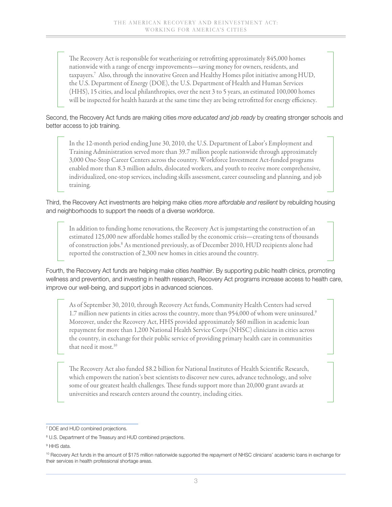The Recovery Act is responsible for weatherizing or retrofitting approximately 845,000 homes nationwide with a range of energy improvements—saving money for owners, residents, and taxpayers.7 Also, through the innovative Green and Healthy Homes pilot initiative among HUD, the U.S. Department of Energy (DOE), the U.S. Department of Health and Human Services (HHS), 15 cities, and local philanthropies, over the next 3 to 5 years, an estimated 100,000 homes will be inspected for health hazards at the same time they are being retrofitted for energy efficiency.

#### Second, the Recovery Act funds are making cities *more educated and job ready* by creating stronger schools and better access to job training.

In the 12-month period ending June 30, 2010, the U.S. Department of Labor's Employment and Training Administration served more than 39.7 million people nationwide through approximately 3,000 One-Stop Career Centers across the country. Workforce Investment Act-funded programs enabled more than 8.3 million adults, dislocated workers, and youth to receive more comprehensive, individualized, one-stop services, including skills assessment, career counseling and planning, and job training.

#### Third, the Recovery Act investments are helping make cities *more affordable and resilient* by rebuilding housing and neighborhoods to support the needs of a diverse workforce.

In addition to funding home renovations, the Recovery Act is jumpstarting the construction of an estimated 125,000 new affordable homes stalled by the economic crisis—creating tens of thousands of construction jobs.8 As mentioned previously, as of December 2010, HUD recipients alone had reported the construction of 2,300 new homes in cities around the country.

Fourth, the Recovery Act funds are helping make cities *healthier*. By supporting public health clinics, promoting wellness and prevention, and investing in health research, Recovery Act programs increase access to health care, improve our well-being, and support jobs in advanced sciences.

As of September 30, 2010, through Recovery Act funds, Community Health Centers had served 1.7 million new patients in cities across the country, more than 954,000 of whom were uninsured.9 Moreover, under the Recovery Act, HHS provided approximately \$60 million in academic loan repayment for more than 1,200 National Health Service Corps (NHSC) clinicians in cities across the country, in exchange for their public service of providing primary health care in communities that need it most.<sup>10</sup>

The Recovery Act also funded \$8.2 billion for National Institutes of Health Scientific Research, which empowers the nation's best scientists to discover new cures, advance technology, and solve some of our greatest health challenges. These funds support more than 20,000 grant awards at universities and research centers around the country, including cities.

<sup>7</sup> DOE and HUD combined projections.

<sup>&</sup>lt;sup>8</sup> U.S. Department of the Treasury and HUD combined projections.

<sup>9</sup> HHS data.

<sup>&</sup>lt;sup>10</sup> Recovery Act funds in the amount of \$175 million nationwide supported the repayment of NHSC clinicians' academic loans in exchange for their services in health professional shortage areas.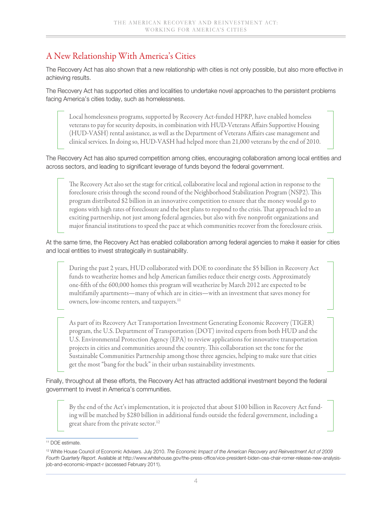## A New Relationship With America's Cities

The Recovery Act has also shown that a new relationship with cities is not only possible, but also more effective in achieving results.

The Recovery Act has supported cities and localities to undertake novel approaches to the persistent problems facing America's cities today, such as homelessness.

Local homelessness programs, supported by Recovery Act-funded HPRP, have enabled homeless veterans to pay for security deposits, in combination with HUD-Veterans Affairs Supportive Housing (HUD-VASH) rental assistance, as well as the Department of Veterans Affairs case management and clinical services. In doing so, HUD-VASH had helped more than 21,000 veterans by the end of 2010.

The Recovery Act has also spurred competition among cities, encouraging collaboration among local entities and across sectors, and leading to significant leverage of funds beyond the federal government.

The Recovery Act also set the stage for critical, collaborative local and regional action in response to the foreclosure crisis through the second round of the Neighborhood Stabilization Program (NSP2). This program distributed \$2 billion in an innovative competition to ensure that the money would go to regions with high rates of foreclosure and the best plans to respond to the crisis. That approach led to an exciting partnership, not just among federal agencies, but also with five nonprofit organizations and major financial institutions to speed the pace at which communities recover from the foreclosure crisis.

#### At the same time, the Recovery Act has enabled collaboration among federal agencies to make it easier for cities and local entities to invest strategically in sustainability.

During the past 2 years, HUD collaborated with DOE to coordinate the \$5 billion in Recovery Act funds to weatherize homes and help American families reduce their energy costs. Approximately one-fifth of the 600,000 homes this program will weatherize by March 2012 are expected to be multifamily apartments—many of which are in cities—with an investment that saves money for owners, low-income renters, and taxpayers.<sup>11</sup>

As part of its Recovery Act Transportation Investment Generating Economic Recovery (TIGER) program, the U.S. Department of Transportation (DOT) invited experts from both HUD and the U.S. Environmental Protection Agency (EPA) to review applications for innovative transportation projects in cities and communities around the country. This collaboration set the tone for the Sustainable Communities Partnership among those three agencies, helping to make sure that cities get the most "bang for the buck" in their urban sustainability investments.

Finally, throughout all these efforts, the Recovery Act has attracted additional investment beyond the federal government to invest in America's communities.

By the end of the Act's implementation, it is projected that about \$100 billion in Recovery Act funding will be matched by \$280 billion in additional funds outside the federal government, including a great share from the private sector.<sup>12</sup>

<sup>11</sup> DOE estimate.

<sup>12</sup> White House Council of Economic Advisers. July 2010. *The Economic Impact of the American Recovery and Reinvestment Act of 2009 Fourth Quarterly Report*. Available at http://www.whitehouse.gov/the-press-office/vice-president-biden-cea-chair-romer-release-new-analysisjob-and-economic-impact-r (accessed February 2011).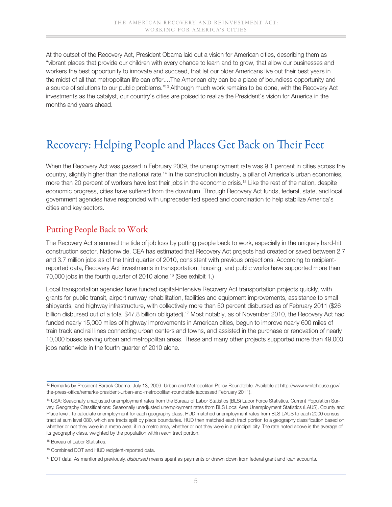At the outset of the Recovery Act, President Obama laid out a vision for American cities, describing them as "vibrant places that provide our children with every chance to learn and to grow, that allow our businesses and workers the best opportunity to innovate and succeed, that let our older Americans live out their best years in the midst of all that metropolitan life can offer....The American city can be a place of boundless opportunity and a source of solutions to our public problems."13 Although much work remains to be done, with the Recovery Act investments as the catalyst, our country's cities are poised to realize the President's vision for America in the months and years ahead.

# Recovery: Helping People and Places Get Back on Their Feet

When the Recovery Act was passed in February 2009, the unemployment rate was 9.1 percent in cities across the country, slightly higher than the national rate.14 In the construction industry, a pillar of America's urban economies, more than 20 percent of workers have lost their jobs in the economic crisis.<sup>15</sup> Like the rest of the nation, despite economic progress, cities have suffered from the downturn. Through Recovery Act funds, federal, state, and local government agencies have responded with unprecedented speed and coordination to help stabilize America's cities and key sectors.

### Putting People Back to Work

The Recovery Act stemmed the tide of job loss by putting people back to work, especially in the uniquely hard-hit construction sector. Nationwide, CEA has estimated that Recovery Act projects had created or saved between 2.7 and 3.7 million jobs as of the third quarter of 2010, consistent with previous projections. According to recipientreported data, Recovery Act investments in transportation, housing, and public works have supported more than 70,000 jobs in the fourth quarter of 2010 alone.<sup>16</sup> (See exhibit 1.)

Local transportation agencies have funded capital-intensive Recovery Act transportation projects quickly, with grants for public transit, airport runway rehabilitation, facilities and equipment improvements, assistance to small shipyards, and highway infrastructure, with collectively more than 50 percent disbursed as of February 2011 (\$26 billion disbursed out of a total \$47.8 billion obligated).17 Most notably, as of November 2010, the Recovery Act had funded nearly 15,000 miles of highway improvements in American cities, begun to improve nearly 600 miles of train track and rail lines connecting urban centers and towns, and assisted in the purchase or renovation of nearly 10,000 buses serving urban and metropolitan areas. These and many other projects supported more than 49,000 jobs nationwide in the fourth quarter of 2010 alone.

<sup>13</sup> Remarks by President Barack Obama. July 13, 2009. Urban and Metropolitan Policy Roundtable. Available at http://www.whitehouse.gov/ the-press-office/remarks-president-urban-and-metropolitan-roundtable (accessed February 2011).

<sup>&</sup>lt;sup>14</sup> USA: Seasonally unadjusted unemployment rates from the Bureau of Labor Statistics (BLS) Labor Force Statistics, Current Population Survey. Geography Classifications: Seasonally unadjusted unemployment rates from BLS Local Area Unemployment Statistics (LAUS), County and Place level. To calculate unemployment for each geography class, HUD matched unemployment rates from BLS LAUS to each 2000 census tract at sum level 080, which are tracts split by place boundaries. HUD then matched each tract portion to a geography classification based on whether or not they were in a metro area; if in a metro area, whether or not they were in a principal city. The rate noted above is the average of its geography class, weighted by the population within each tract portion.

<sup>&</sup>lt;sup>15</sup> Bureau of Labor Statistics.

<sup>16</sup> Combined DOT and HUD recipient-reported data.

<sup>17</sup> DOT data. As mentioned previously, *disbursed* means spent as payments or drawn down from federal grant and loan accounts.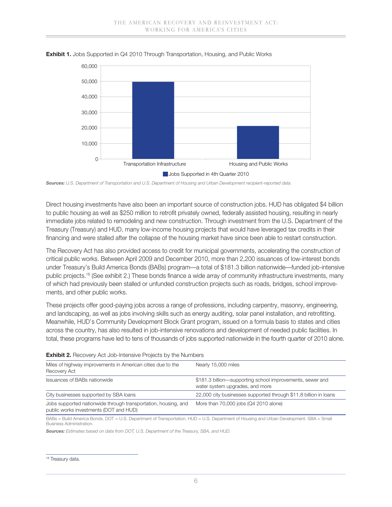

**Exhibit 1.** Jobs Supported in Q4 2010 Through Transportation, Housing, and Public Works

*Sources: U.S. Department of Transportation and U.S. Department of Housing and Urban Development recipient-reported data.*

Direct housing investments have also been an important source of construction jobs. HUD has obligated \$4 billion to public housing as well as \$250 million to retrofit privately owned, federally assisted housing, resulting in nearly immediate jobs related to remodeling and new construction. Through investment from the U.S. Department of the Treasury (Treasury) and HUD, many low-income housing projects that would have leveraged tax credits in their financing and were stalled after the collapse of the housing market have since been able to restart construction.

The Recovery Act has also provided access to credit for municipal governments, accelerating the construction of critical public works. Between April 2009 and December 2010, more than 2,200 issuances of low-interest bonds under Treasury's Build America Bonds (BABs) program—a total of \$181.3 billion nationwide—funded job-intensive public projects.18 (See exhibit 2.) These bonds finance a wide array of community infrastructure investments, many of which had previously been stalled or unfunded construction projects such as roads, bridges, school improvements, and other public works.

These projects offer good-paying jobs across a range of professions, including carpentry, masonry, engineering, \$0 and landscaping, as well as jobs involving skills such as energy auditing, solar panel installation, and retrofitting.<br>Meanwhile, HUD's Community Development Block Grant program, issued on a formula basis to states and cit Meanwhile, HUD's Community Development Block Grant program, issued on a formula basis to states and cities across the country, has also resulted in job-intensive renovations and development of needed public facilities. In total, these programs have led to tens of thousands of jobs supported nationwide in the fourth quarter of 2010 alone. **Project Type** ng skills such as energy auditing, solar panel installa<br>ment Block Grant program, issued on a formula ba<br>job-intensive renovations and development of need

| <b>EXHIBIT E'</b> HIGOOAGI À WOL AOD THIGHOLA E HOIGOLO DÀ THO HAITHDOLO                                 |                                                                                              |  |  |  |
|----------------------------------------------------------------------------------------------------------|----------------------------------------------------------------------------------------------|--|--|--|
| Miles of highway improvements in American cities due to the<br>Recovery Act                              | Nearly 15,000 miles                                                                          |  |  |  |
| Issuances of BABs nationwide                                                                             | \$181.3 billion—supporting school improvements, sewer and<br>water system upgrades, and more |  |  |  |
| City businesses supported by SBA loans                                                                   | 22,000 city businesses supported through \$11.8 billion in loans                             |  |  |  |
| Jobs supported nationwide through transportation, housing, and<br>public works investments (DOT and HUD) | More than 70,000 jobs (Q4 2010 alone)                                                        |  |  |  |

|  | <b>Exhibit 2.</b> Recovery Act Job-Intensive Projects by the Numbers |  |  |
|--|----------------------------------------------------------------------|--|--|
|  |                                                                      |  |  |

BABs = Build America Bonds. DOT = U.S. Department of Transportation. HUD = U.S. Department of Housing and Urban Development. SBA = Small Business Administration.

*Sources: Estimates based on data from DOT, U.S. Department of the Treasury, SBA, and HUD.*

<sup>&</sup>lt;sup>18</sup> Treasury data.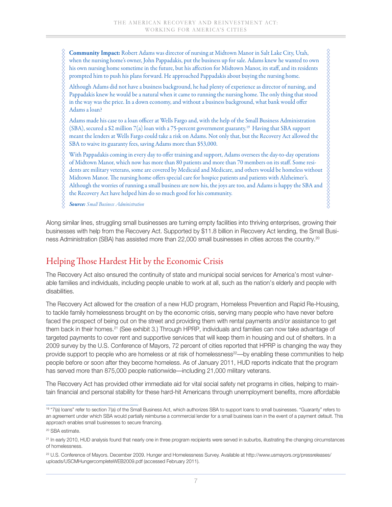**Community Impact:** Robert Adams was director of nursing at Midtown Manor in Salt Lake City, Utah, when the nursing home's owner, John Pappadakis, put the business up for sale. Adams knew he wanted to own his own nursing home sometime in the future, but his affection for Midtown Manor, its staff, and its residents prompted him to push his plans forward. He approached Pappadakis about buying the nursing home.

Although Adams did not have a business background, he had plenty of experience as director of nursing, and Pappadakis knew he would be a natural when it came to running the nursing home. The only thing that stood in the way was the price. In a down economy, and without a business background, what bank would offer Adams a loan?

 $8888888$ 

Adams made his case to a loan officer at Wells Fargo and, with the help of the Small Business Administration (SBA), secured a \$2 million 7(a) loan with a 75-percent government guaranty.19 Having that SBA support meant the lenders at Wells Fargo could take a risk on Adams. Not only that, but the Recovery Act allowed the SBA to waive its guaranty fees, saving Adams more than \$53,000.

With Pappadakis coming in every day to offer training and support, Adams oversees the day-to-day operations of Midtown Manor, which now has more than 80 patients and more than 70 members on its staff. Some residents are military veterans, some are covered by Medicaid and Medicare, and others would be homeless without Midtown Manor. The nursing home offers special care for hospice patients and patients with Alzheimer's. Although the worries of running a small business are now his, the joys are too, and Adams is happy the SBA and the Recovery Act have helped him do so much good for his community.

*Source: Small Business Administration*

Ş

Along similar lines, struggling small businesses are turning empty facilities into thriving enterprises, growing their businesses with help from the Recovery Act. Supported by \$11.8 billion in Recovery Act lending, the Small Business Administration (SBA) has assisted more than 22,000 small businesses in cities across the country.20

## Helping Those Hardest Hit by the Economic Crisis

The Recovery Act also ensured the continuity of state and municipal social services for America's most vulnerable families and individuals, including people unable to work at all, such as the nation's elderly and people with disabilities.

The Recovery Act allowed for the creation of a new HUD program, Homeless Prevention and Rapid Re-Housing, to tackle family homelessness brought on by the economic crisis, serving many people who have never before faced the prospect of being out on the street and providing them with rental payments and/or assistance to get them back in their homes.21 (See exhibit 3.) Through HPRP, individuals and families can now take advantage of targeted payments to cover rent and supportive services that will keep them in housing and out of shelters. In a 2009 survey by the U.S. Conference of Mayors, 72 percent of cities reported that HPRP is changing the way they provide support to people who are homeless or at risk of homelessness<sup>22</sup>—by enabling these communities to help people before or soon after they become homeless. As of January 2011, HUD reports indicate that the program has served more than 875,000 people nationwide—including 21,000 military veterans.

The Recovery Act has provided other immediate aid for vital social safety net programs in cities, helping to maintain financial and personal stability for these hard-hit Americans through unemployment benefits, more affordable

<sup>19 &</sup>quot;7(a) loans" refer to section 7(a) of the Small Business Act, which authorizes SBA to support loans to small businesses. "Guaranty" refers to an agreement under which SBA would partially reimburse a commercial lender for a small business loan in the event of a payment default. This approach enables small businesses to secure financing.

<sup>20</sup> SBA estimate.

<sup>&</sup>lt;sup>21</sup> In early 2010, HUD analysis found that nearly one in three program recipients were served in suburbs, illustrating the changing circumstances of homelessness.

<sup>22</sup> U.S. Conference of Mayors. December 2009. Hunger and Homelessness Survey. Available at http://www.usmayors.org/pressreleases/ uploads/USCMHungercompleteWEB2009.pdf (accessed February 2011).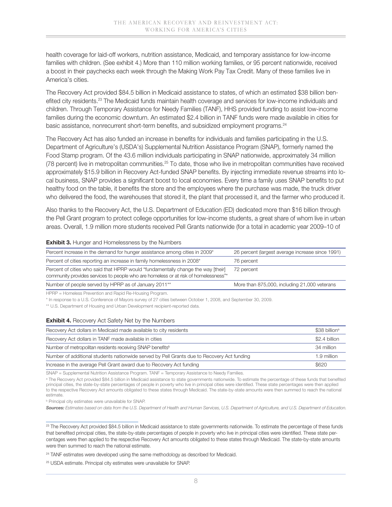health coverage for laid-off workers, nutrition assistance, Medicaid, and temporary assistance for low-income families with children. (See exhibit 4.) More than 110 million working families, or 95 percent nationwide, received a boost in their paychecks each week through the Making Work Pay Tax Credit. Many of these families live in America's cities.

The Recovery Act provided \$84.5 billion in Medicaid assistance to states, of which an estimated \$38 billion benefited city residents.23 The Medicaid funds maintain health coverage and services for low-income individuals and children. Through Temporary Assistance for Needy Families (TANF), HHS provided funding to assist low-income families during the economic downturn. An estimated \$2.4 billion in TANF funds were made available in cities for basic assistance, nonrecurrent short-term benefits, and subsidized employment programs.24

The Recovery Act has also funded an increase in benefits for individuals and families participating in the U.S. Department of Agriculture's (USDA's) Supplemental Nutrition Assistance Program (SNAP), formerly named the Food Stamp program. Of the 43.6 million individuals participating in SNAP nationwide, approximately 34 million (78 percent) live in metropolitan communities.25 To date, those who live in metropolitan communities have received approximately \$15.9 billion in Recovery Act-funded SNAP benefits. By injecting immediate revenue streams into local business, SNAP provides a significant boost to local economies. Every time a family uses SNAP benefits to put healthy food on the table, it benefits the store and the employees where the purchase was made, the truck driver who delivered the food, the warehouses that stored it, the plant that processed it, and the farmer who produced it.

Also thanks to the Recovery Act, the U.S. Department of Education (ED) dedicated more than \$16 billion through the Pell Grant program to protect college opportunities for low-income students, a great share of whom live in urban areas. Overall, 1.9 million more students received Pell Grants nationwide (for a total in academic year 2009–10 of

#### **Exhibit 3.** Hunger and Homelessness by the Numbers

| Percent increase in the demand for hunger assistance among cities in 2009*                                                                                              | 26 percent (largest average increase since 1991) |
|-------------------------------------------------------------------------------------------------------------------------------------------------------------------------|--------------------------------------------------|
| Percent of cities reporting an increase in family homelessness in 2008*                                                                                                 | 76 percent                                       |
| Percent of cities who said that HPRP would "fundamentally change the way [their]<br>community provides services to people who are homeless or at risk of homelessness"* | 72 percent                                       |
| Number of people served by HPRP as of January 2011 <sup>**</sup>                                                                                                        | More than 875,000, including 21,000 veterans     |
| UDDD - Hamelese Drevention and Dapid De Hauping Drearam                                                                                                                 |                                                  |

s Prevention and Rapid Re-Housing Program.

\* In response to a U.S. Conference of Mayors survey of 27 cities between October 1, 2008, and September 30, 2009.

\*\* U.S. Department of Housing and Urban Development recipient-reported data.

#### **Exhibit 4.** Recovery Act Safety Net by the Numbers

| Recovery Act dollars in Medicaid made available to city residents                          | $$38$ billion <sup>a</sup> |
|--------------------------------------------------------------------------------------------|----------------------------|
| Recovery Act dollars in TANF made available in cities                                      | \$2.4 billion              |
| Number of metropolitan residents receiving SNAP benefits <sup>b</sup>                      | 34 million                 |
| Number of additional students nationwide served by Pell Grants due to Recovery Act funding | 1.9 million                |
| Increase in the average Pell Grant award due to Recovery Act funding                       | \$620                      |

SNAP = Supplemental Nutrition Assistance Program. TANF = Temporary Assistance to Needy Families.

<sup>a</sup> The Recovery Act provided \$84.5 billion in Medicaid assistance to state governments nationwide. To estimate the percentage of these funds that benefited principal cities, the state-by-state percentages of people in poverty who live in principal cities were identified. These state percentages were then applied to the respective Recovery Act amounts obligated to these states through Medicaid. The state-by-state amounts were then summed to reach the national estimate.

**b** Principal city estimates were unavailable for SNAP.

*Sources: Estimates based on data from the U.S. Department of Health and Human Services, U.S. Department of Agriculture, and U.S. Department of Education.*

<sup>23</sup> The Recovery Act provided \$84.5 billion in Medicaid assistance to state governments nationwide. To estimate the percentage of these funds that benefited principal cities, the state-by-state percentages of people in poverty who live in principal cities were identified. These state percentages were then applied to the respective Recovery Act amounts obligated to these states through Medicaid. The state-by-state amounts were then summed to reach the national estimate.

<sup>24</sup> TANF estimates were developed using the same methodology as described for Medicaid.

25 USDA estimate. Principal city estimates were unavailable for SNAP.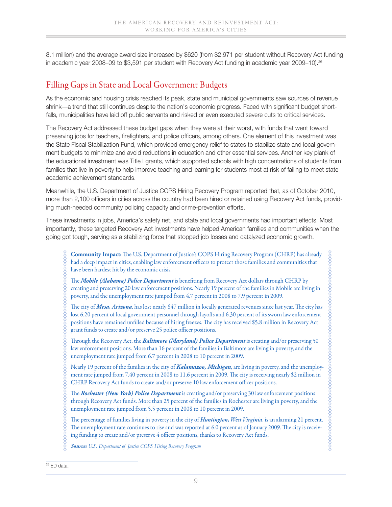8.1 million) and the average award size increased by \$620 (from \$2,971 per student without Recovery Act funding in academic year 2008–09 to \$3,591 per student with Recovery Act funding in academic year 2009–10).<sup>26</sup>

## Filling Gaps in State and Local Government Budgets

As the economic and housing crisis reached its peak, state and municipal governments saw sources of revenue shrink—a trend that still continues despite the nation's economic progress. Faced with significant budget shortfalls, municipalities have laid off public servants and risked or even executed severe cuts to critical services.

The Recovery Act addressed these budget gaps when they were at their worst, with funds that went toward preserving jobs for teachers, firefighters, and police officers, among others. One element of this investment was the State Fiscal Stabilization Fund, which provided emergency relief to states to stabilize state and local government budgets to minimize and avoid reductions in education and other essential services. Another key plank of the educational investment was Title I grants, which supported schools with high concentrations of students from families that live in poverty to help improve teaching and learning for students most at risk of failing to meet state academic achievement standards.

Meanwhile, the U.S. Department of Justice COPS Hiring Recovery Program reported that, as of October 2010, more than 2,100 officers in cities across the country had been hired or retained using Recovery Act funds, providing much-needed community policing capacity and crime-prevention efforts.

These investments in jobs, America's safety net, and state and local governments had important effects. Most importantly, these targeted Recovery Act investments have helped American families and communities when the going got tough, serving as a stabilizing force that stopped job losses and catalyzed economic growth.

**Community Impact:** The U.S. Department of Justice's COPS Hiring Recovery Program (CHRP) has already had a deep impact in cities, enabling law enforcement officers to protect those families and communities that have been hardest hit by the economic crisis.

The *Mobile (Alabama) Police Department* is benefiting from Recovery Act dollars through CHRP by creating and preserving 20 law enforcement positions. Nearly 19 percent of the families in Mobile are living in poverty, and the unemployment rate jumped from 4.7 percent in 2008 to 7.9 percent in 2009.

The city of *Mesa, Arizona*, has lost nearly \$47 million in locally generated revenues since last year. The city has lost 6.20 percent of local government personnel through layoffs and 6.30 percent of its sworn law enforcement positions have remained unfilled because of hiring freezes. The city has received \$5.8 million in Recovery Act grant funds to create and/or preserve 25 police officer positions.

Through the Recovery Act, the *Baltimore (Maryland) Police Department* is creating and/or preserving 50 law enforcement positions. More than 16 percent of the families in Baltimore are living in poverty, and the unemployment rate jumped from 6.7 percent in 2008 to 10 percent in 2009.

Nearly 19 percent of the families in the city of *Kalamazoo, Michigan*, are living in poverty, and the unemployment rate jumped from 7.40 percent in 2008 to 11.6 percent in 2009. The city is receiving nearly \$2 million in CHRP Recovery Act funds to create and/or preserve 10 law enforcement officer positions.

The *Rochester (New York) Police Department* is creating and/or preserving 30 law enforcement positions through Recovery Act funds. More than 25 percent of the families in Rochester are living in poverty, and the unemployment rate jumped from 5.5 percent in 2008 to 10 percent in 2009.

The percentage of families living in poverty in the city of *Huntington, West Virginia*, is an alarming 21 percent. The unemployment rate continues to rise and was reported at 6.0 percent as of January 2009. The city is receiving funding to create and/or preserve 4 officer positions, thanks to Recovery Act funds.

*Source: U.S. Department of Justice COPS Hiring Recovery Program*

<sup>26</sup> ED data.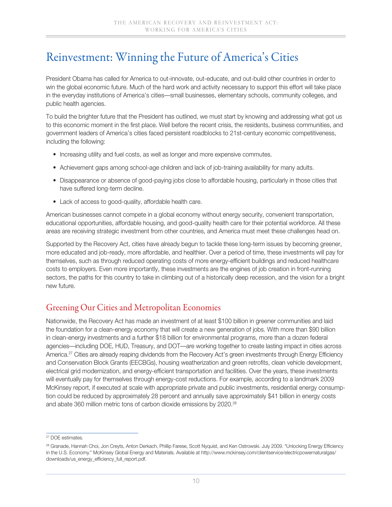## Reinvestment: Winning the Future of America's Cities

President Obama has called for America to out-innovate, out-educate, and out-build other countries in order to win the global economic future. Much of the hard work and activity necessary to support this effort will take place in the everyday institutions of America's cities—small businesses, elementary schools, community colleges, and public health agencies.

To build the brighter future that the President has outlined, we must start by knowing and addressing what got us to this economic moment in the first place. Well before the recent crisis, the residents, business communities, and government leaders of America's cities faced persistent roadblocks to 21st-century economic competitiveness, including the following:

- Increasing utility and fuel costs, as well as longer and more expensive commutes.
- Achievement gaps among school-age children and lack of job-training availability for many adults.
- Disappearance or absence of good-paying jobs close to affordable housing, particularly in those cities that have suffered long-term decline.
- Lack of access to good-quality, affordable health care.

American businesses cannot compete in a global economy without energy security, convenient transportation, educational opportunities, affordable housing, and good-quality health care for their potential workforce. All these areas are receiving strategic investment from other countries, and America must meet these challenges head on.

Supported by the Recovery Act, cities have already begun to tackle these long-term issues by becoming greener, more educated and job-ready, more affordable, and healthier. Over a period of time, these investments will pay for themselves, such as through reduced operating costs of more energy-efficient buildings and reduced healthcare costs to employers. Even more importantly, these investments are the engines of job creation in front-running sectors, the paths for this country to take in climbing out of a historically deep recession, and the vision for a bright new future.

### Greening Our Cities and Metropolitan Economies

Nationwide, the Recovery Act has made an investment of at least \$100 billion in greener communities and laid the foundation for a clean-energy economy that will create a new generation of jobs. With more than \$90 billion in clean-energy investments and a further \$18 billion for environmental programs, more than a dozen federal agencies—including DOE, HUD, Treasury, and DOT—are working together to create lasting impact in cities across America.<sup>27</sup> Cities are already reaping dividends from the Recovery Act's green investments through Energy Efficiency and Conservation Block Grants (EECBGs), housing weatherization and green retrofits, clean vehicle development, electrical grid modernization, and energy-efficient transportation and facilities. Over the years, these investments will eventually pay for themselves through energy-cost reductions. For example, according to a landmark 2009 McKinsey report, if executed at scale with appropriate private and public investments, residential energy consumption could be reduced by approximately 28 percent and annually save approximately \$41 billion in energy costs and abate 360 million metric tons of carbon dioxide emissions by 2020.<sup>28</sup>

<sup>27</sup> DOE estimates.

<sup>28</sup> Granade, Hannah Choi, Jon Creyts, Anton Derkach, Phillip Farese, Scott Nyquist, and Ken Ostrowski. July 2009. "Unlocking Energy Efficiency in the U.S. Economy." McKinsey Global Energy and Materials. Available at http://www.mckinsey.com/clientservice/electricpowernaturalgas/ downloads/us\_energy\_efficiency\_full\_report.pdf.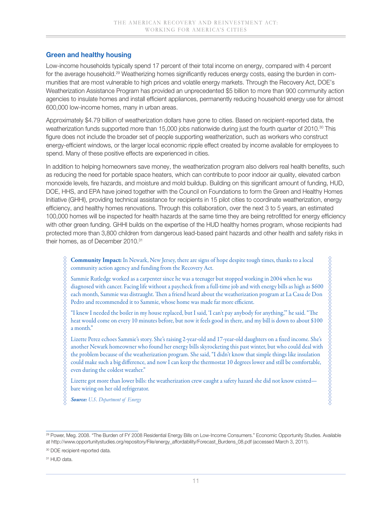### **Green and healthy housing**

Low-income households typically spend 17 percent of their total income on energy, compared with 4 percent for the average household.29 Weatherizing homes significantly reduces energy costs, easing the burden in communities that are most vulnerable to high prices and volatile energy markets. Through the Recovery Act, DOE's Weatherization Assistance Program has provided an unprecedented \$5 billion to more than 900 community action agencies to insulate homes and install efficient appliances, permanently reducing household energy use for almost 600,000 low-income homes, many in urban areas.

Approximately \$4.79 billion of weatherization dollars have gone to cities. Based on recipient-reported data, the weatherization funds supported more than 15,000 jobs nationwide during just the fourth quarter of 2010.<sup>30</sup> This figure does not include the broader set of people supporting weatherization, such as workers who construct energy-efficient windows, or the larger local economic ripple effect created by income available for employees to spend. Many of these positive effects are experienced in cities.

In addition to helping homeowners save money, the weatherization program also delivers real health benefits, such as reducing the need for portable space heaters, which can contribute to poor indoor air quality, elevated carbon monoxide levels, fire hazards, and moisture and mold buildup. Building on this significant amount of funding, HUD, DOE, HHS, and EPA have joined together with the Council on Foundations to form the Green and Healthy Homes Initiative (GHHI), providing technical assistance for recipients in 15 pilot cities to coordinate weatherization, energy efficiency, and healthy homes renovations. Through this collaboration, over the next 3 to 5 years, an estimated 100,000 homes will be inspected for health hazards at the same time they are being retrofitted for energy efficiency with other green funding. GHHI builds on the expertise of the HUD healthy homes program, whose recipients had protected more than 3,800 children from dangerous lead-based paint hazards and other health and safety risks in their homes, as of December 2010.<sup>31</sup>

**Community Impact:** In Newark, New Jersey, there are signs of hope despite tough times, thanks to a local community action agency and funding from the Recovery Act.

Sammie Rutledge worked as a carpenter since he was a teenager but stopped working in 2004 when he was diagnosed with cancer. Facing life without a paycheck from a full-time job and with energy bills as high as \$600 each month, Sammie was distraught. Then a friend heard about the weatherization program at La Casa de Don Pedro and recommended it to Sammie, whose home was made far more efficient.

"I knew I needed the boiler in my house replaced, but I said, 'I can't pay anybody for anything,'" he said. "The heat would come on every 10 minutes before, but now it feels good in there, and my bill is down to about \$100 a month."

Lizette Perez echoes Sammie's story. She's raising 2-year-old and 17-year-old daughters on a fixed income. She's another Newark homeowner who found her energy bills skyrocketing this past winter, but who could deal with the problem because of the weatherization program. She said, "I didn't know that simple things like insulation could make such a big difference, and now I can keep the thermostat 10 degrees lower and still be comfortable, even during the coldest weather."

Lizette got more than lower bills: the weatherization crew caught a safety hazard she did not know existed bare wiring on her old refrigerator.

*Source: U.S. Department of Energy*

11

<sup>&</sup>lt;sup>29</sup> Power, Meg. 2008. "The Burden of FY 2008 Residential Energy Bills on Low-Income Consumers." Economic Opportunity Studies. Available at http://www.opportunitystudies.org/repository/File/energy\_affordability/Forecast\_Burdens\_08.pdf (accessed March 3, 2011).

<sup>&</sup>lt;sup>30</sup> DOE recipient-reported data.

<sup>&</sup>lt;sup>31</sup> HUD data.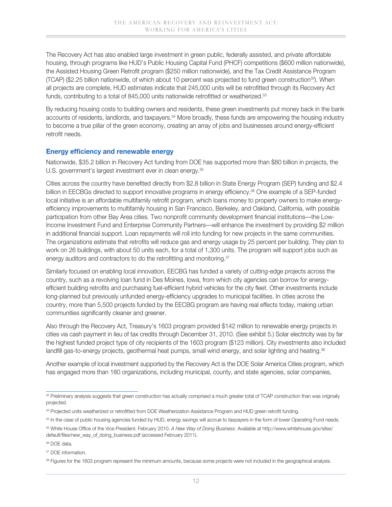The Recovery Act has also enabled large investment in green public, federally assisted, and private affordable housing, through programs like HUD's Public Housing Capital Fund (PHCF) competitions (\$600 million nationwide), the Assisted Housing Green Retrofit program (\$250 million nationwide), and the Tax Credit Assistance Program (TCAP) (\$2.25 billion nationwide, of which about 10 percent was projected to fund green construction32). When all projects are complete, HUD estimates indicate that 245,000 units will be retrofitted through its Recovery Act funds, contributing to a total of 845,000 units nationwide retrofitted or weatherized.<sup>33</sup>

By reducing housing costs to building owners and residents, these green investments put money back in the bank accounts of residents, landlords, and taxpayers.<sup>34</sup> More broadly, these funds are empowering the housing industry to become a true pillar of the green economy, creating an array of jobs and businesses around energy-efficient retrofit needs.

### **Energy efficiency and renewable energy**

Nationwide, \$35.2 billion in Recovery Act funding from DOE has supported more than \$80 billion in projects, the U.S. government's largest investment ever in clean energy.<sup>35</sup>

Cities across the country have benefited directly from \$2.8 billion in State Energy Program (SEP) funding and \$2.4 billion in EECBGs directed to support innovative programs in energy efficiency.<sup>36</sup> One example of a SEP-funded local initiative is an affordable multifamily retrofit program, which loans money to property owners to make energyefficiency improvements to multifamily housing in San Francisco, Berkeley, and Oakland, California, with possible participation from other Bay Area cities. Two nonprofit community development financial institutions—the Low-Income Investment Fund and Enterprise Community Partners—will enhance the investment by providing \$2 million in additional financial support. Loan repayments will roll into funding for new projects in the same communities. The organizations estimate that retrofits will reduce gas and energy usage by 25 percent per building. They plan to work on 26 buildings, with about 50 units each, for a total of 1,300 units. The program will support jobs such as energy auditors and contractors to do the retrofitting and monitoring.<sup>37</sup>

Similarly focused on enabling local innovation, EECBG has funded a variety of cutting-edge projects across the country, such as a revolving loan fund in Des Moines, Iowa, from which city agencies can borrow for energyefficient building retrofits and purchasing fuel-efficient hybrid vehicles for the city fleet. Other investments include long-planned but previously unfunded energy-efficiency upgrades to municipal facilities. In cities across the country, more than 5,500 projects funded by the EECBG program are having real effects today, making urban communities significantly cleaner and greener.

Also through the Recovery Act, Treasury's 1603 program provided \$142 million to renewable energy projects in cities via cash payment in lieu of tax credits through December 31, 2010. (See exhibit 5.) Solar electricity was by far the highest funded project type of city recipients of the 1603 program (\$123 million). City investments also included landfill gas-to-energy projects, geothermal heat pumps, small wind energy, and solar lighting and heating.<sup>38</sup>

Another example of local investment supported by the Recovery Act is the DOE Solar America Cities program, which has engaged more than 180 organizations, including municipal, county, and state agencies, solar companies,

<sup>&</sup>lt;sup>32</sup> Preliminary analysis suggests that green construction has actually comprised a much greater total of TCAP construction than was originally projected.

<sup>&</sup>lt;sup>33</sup> Projected units weatherized or retrofitted from DOE Weatherization Assistance Program and HUD green retrofit funding.

<sup>34</sup> In the case of public housing agencies funded by HUD, energy savings will accrue to taxpayers in the form of lower Operating Fund needs.

<sup>35</sup> White House Office of the Vice President. February 2010. *A New Way of Doing Business*. Available at http://www.whitehouse.gov/sites/ default/files/new\_way\_of\_doing\_business.pdf (accessed February 2011).

<sup>36</sup> DOE data.

<sup>37</sup> DOE information.

<sup>38</sup> Figures for the 1603 program represent the minimum amounts, because some projects were not included in the geographical analysis.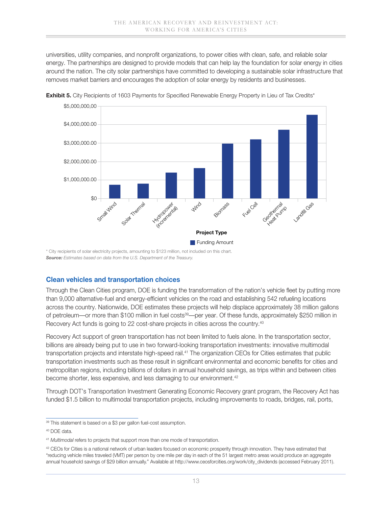universities, utility companies, and nonprofit organizations, to power cities with clean, safe, and reliable solar energy. The partnerships are designed to provide models that can help lay the foundation for solar energy in cities around the nation. The city solar partnerships have committed to developing a sustainable solar infrastructure that removes market barriers and encourages the adoption of solar energy by residents and businesses.



**Exhibit 5.** City Recipients of 1603 Payments for Specified Renewable Energy Property in Lieu of Tax Credits\*

\* City recipients of solar electricity projects, amounting to \$123 million, not included on this chart. *Source: Estimates based on data from the U.S. Department of the Treasury.*

#### **Clean vehicles and transportation choices**

Through the Clean Cities program, DOE is funding the transformation of the nation's vehicle fleet by putting more than 9,000 alternative-fuel and energy-efficient vehicles on the road and establishing 542 refueling locations across the country. Nationwide, DOE estimates these projects will help displace approximately 38 million gallons of petroleum—or more than \$100 million in fuel costs<sup>39</sup>—per year. Of these funds, approximately \$250 million in Recovery Act funds is going to 22 cost-share projects in cities across the country.<sup>40</sup>

Recovery Act support of green transportation has not been limited to fuels alone. In the transportation sector, billions are already being put to use in two forward-looking transportation investments: innovative multimodal transportation projects and interstate high-speed rail.41 The organization CEOs for Cities estimates that public transportation investments such as these result in significant environmental and economic benefits for cities and metropolitan regions, including billions of dollars in annual household savings, as trips within and between cities become shorter, less expensive, and less damaging to our environment.<sup>42</sup>

Through DOT's Transportation Investment Generating Economic Recovery grant program, the Recovery Act has funded \$1.5 billion to multimodal transportation projects, including improvements to roads, bridges, rail, ports,

<sup>&</sup>lt;sup>39</sup> This statement is based on a \$3 per gallon fuel-cost assumption.

<sup>40</sup> DOE data.

<sup>41</sup> *Multimodal* refers to projects that support more than one mode of transportation.

<sup>&</sup>lt;sup>42</sup> CEOs for Cities is a national network of urban leaders focused on economic prosperity through innovation. They have estimated that "reducing vehicle miles traveled (VMT) per person by one mile per day in each of the 51 largest metro areas would produce an aggregate annual household savings of \$29 billion annually." Available at http://www.ceosforcities.org/work/city\_dividends (accessed February 2011).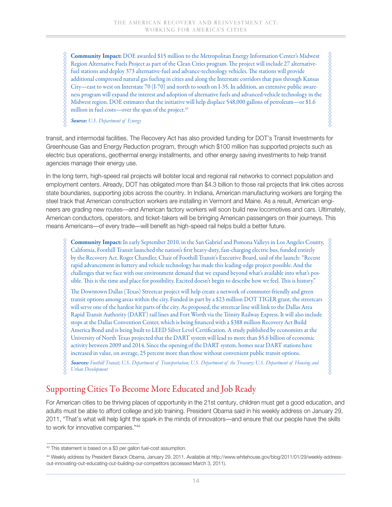**Community Impact:** DOE awarded \$15 million to the Metropolitan Energy Information Center's Midwest Region Alternative Fuels Project as part of the Clean Cities program. The project will include 27 alternativefuel stations and deploy 373 alternative-fuel and advance-technology vehicles. The stations will provide additional compressed natural gas fueling in cities and along the Interstate corridors that pass through Kansas City—east to west on Interstate 70 (I-70) and north to south on I-35. In addition, an extensive public awareness program will expand the interest and adoption of alternative fuels and advanced-vehicle technology in the Midwest region. DOE estimates that the initiative will help displace 548,000 gallons of petroleum—or \$1.6 million in fuel costs—over the span of the project. $43$ 

,,,,,,,,,,,,,,,,,,,,,,,,,,,

*Source: U.S. Department of Energy*

transit, and intermodal facilities. The Recovery Act has also provided funding for DOT's Transit Investments for Greenhouse Gas and Energy Reduction program, through which \$100 million has supported projects such as electric bus operations, geothermal energy installments, and other energy saving investments to help transit agencies manage their energy use.

In the long term, high-speed rail projects will bolster local and regional rail networks to connect population and employment centers. Already, DOT has obligated more than \$4.3 billion to those rail projects that link cities across state boundaries, supporting jobs across the country. In Indiana, American manufacturing workers are forging the steel track that American construction workers are installing in Vermont and Maine. As a result, American engineers are grading new routes—and American factory workers will soon build new locomotives and cars. Ultimately, American conductors, operators, and ticket-takers will be bringing American passengers on their journeys. This means Americans—of every trade—will benefit as high-speed rail helps build a better future.

**Community Impact:** In early September 2010, in the San Gabriel and Pomona Valleys in Los Angeles County, California, Foothill Transit launched the nation's first heavy-duty, fast-charging electric bus, funded entirely by the Recovery Act. Roger Chandler, Chair of Foothill Transit's Executive Board, said of the launch: "Recent rapid advancement in battery and vehicle technology has made this leading-edge project possible. And the challenges that we face with our environment demand that we expand beyond what's available into what's possible. This is the time and place for possibility. Excited doesn't begin to describe how we feel. This is history."

The Downtown Dallas (Texas) Streetcar project will help create a network of commuter-friendly and green transit options among areas within the city. Funded in part by a \$23 million DOT TIGER grant, the streetcars will serve one of the hardest hit parts of the city. As proposed, the streetcar line will link to the Dallas Area Rapid Transit Authority (DART) rail lines and Fort Worth via the Trinity Railway Express. It will also include stops at the Dallas Convention Center, which is being financed with a \$388 million Recovery Act Build America Bond and is being built to LEED Silver Level Certification. A study published by economists at the University of North Texas projected that the DART system will lead to more than \$5.6 billion of economic activity between 2009 and 2014. Since the opening of the DART system, homes near DART stations have increased in value, on average, 25 percent more than those without convenient public transit options.

*Sources: Foothill Transit; U.S. Department of Transportation; U.S. Department of the Treasury; U.S. Department of Housing and Urban Development*

### Supporting Cities To Become More Educated and Job Ready

For American cities to be thriving places of opportunity in the 21st century, children must get a good education, and adults must be able to afford college and job training. President Obama said in his weekly address on January 29, 2011, "That's what will help light the spark in the minds of innovators—and ensure that our people have the skills to work for innovative companies."44

<sup>43</sup> This statement is based on a \$3 per gallon fuel-cost assumption.

<sup>44</sup> Weekly address by President Barack Obama, January 29, 2011. Available at http://www.whitehouse.gov/blog/2011/01/29/weekly-addressout-innovating-out-educating-out-building-our-competitors (accessed March 3, 2011).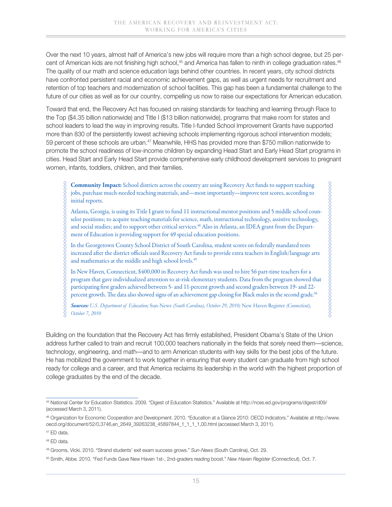Over the next 10 years, almost half of America's new jobs will require more than a high school degree, but 25 percent of American kids are not finishing high school,<sup>45</sup> and America has fallen to ninth in college graduation rates.<sup>46</sup> The quality of our math and science education lags behind other countries. In recent years, city school districts have confronted persistent racial and economic achievement gaps, as well as urgent needs for recruitment and retention of top teachers and modernization of school facilities. This gap has been a fundamental challenge to the future of our cities as well as for our country, compelling us now to raise our expectations for American education.

Toward that end, the Recovery Act has focused on raising standards for teaching and learning through Race to the Top (\$4.35 billion nationwide) and Title I (\$13 billion nationwide), programs that make room for states and school leaders to lead the way in improving results. Title I-funded School Improvement Grants have supported more than 830 of the persistently lowest achieving schools implementing rigorous school intervention models; 59 percent of these schools are urban.47 Meanwhile, HHS has provided more than \$750 million nationwide to promote the school readiness of low-income children by expanding Head Start and Early Head Start programs in cities. Head Start and Early Head Start provide comprehensive early childhood development services to pregnant women, infants, toddlers, children, and their families.

**Community Impact:** School districts across the country are using Recovery Act funds to support teaching jobs, purchase much-needed teaching materials, and—most importantly—improve test scores, according to initial reports.

Atlanta, Georgia, is using its Title I grant to fund 11 instructional mentor positions and 5 middle school counselor positions; to acquire teaching materials for science, math, instructional technology, assistive technology, and social studies; and to support other critical services.48 Also in Atlanta, an IDEA grant from the Department of Education is providing support for 49 special education positions.

In the Georgetown County School District of South Carolina, student scores on federally mandated tests increased after the district officials used Recovery Act funds to provide extra teachers in English/language arts and mathematics at the middle and high school levels.<sup>49</sup>

In New Haven, Connecticut, \$400,000 in Recovery Act funds was used to hire 56 part-time teachers for a program that gave individualized attention to at-risk elementary students. Data from the program showed that participating first graders achieved between 5- and 11-percent growth and second graders between 19- and 22 percent growth. The data also showed signs of an achievement gap closing for Black males in the second grade.<sup>50</sup>

XXXXXXXXXXXX *Sources: U.S. Department of Education;* Sun-News *(South Carolina), October 29, 2010;* New Haven Register *(Connecticut), October 7, 2010*

Building on the foundation that the Recovery Act has firmly established, President Obama's State of the Union address further called to train and recruit 100,000 teachers nationally in the fields that sorely need them—science, technology, engineering, and math—and to arm American students with key skills for the best jobs of the future. He has mobilized the government to work together in ensuring that every student can graduate from high school ready for college and a career, and that America reclaims its leadership in the world with the highest proportion of college graduates by the end of the decade.

<sup>45</sup> National Center for Education Statistics. 2009. "Digest of Education Statistics." Available at http://nces.ed.gov/programs/digest/d09/ (accessed March 3, 2011).

<sup>46</sup> Organization for Economic Cooperation and Development. 2010. "Education at a Glance 2010: OECD Indicators." Available at http://www. oecd.org/document/52/0,3746,en\_2649\_39263238\_45897844\_1\_1\_1\_1,00.html (accessed March 3, 2011).

<sup>47</sup> ED data.

<sup>48</sup> ED data.

<sup>49</sup> Grooms, Vicki. 2010. "Strand students' exit exam success grows." *Sun-News* (South Carolina), Oct. 29.

<sup>50</sup> Smith, Abbe. 2010. "Fed Funds Gave New Haven 1st-, 2nd-graders reading boost." *New Haven Register* (Connecticut), Oct. 7.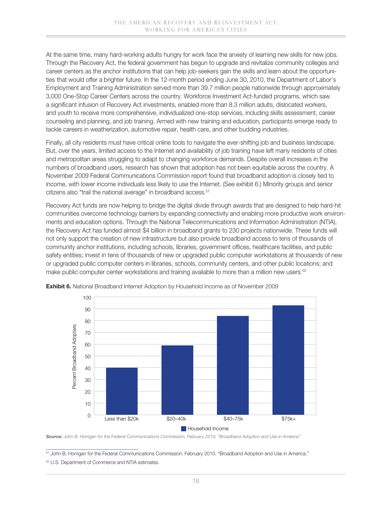At the same time, many hard-working adults hungry for work face the anxiety of learning new skills for new jobs. Through the Recovery Act, the federal government has begun to upgrade and revitalize community colleges and career centers as the anchor institutions that can help job-seekers gain the skills and learn about the opportunities that would offer a brighter future. In the 12-month period ending June 30, 2010, the Department of Labor's Employment and Training Administration served more than 39.7 million people nationwide through approximately 3,000 One-Stop Career Centers across the country. Workforce Investment Act-funded programs, which saw a significant infusion of Recovery Act investments, enabled more than 8.3 million adults, dislocated workers, and youth to receive more comprehensive, individualized one-stop services, including skills assessment, career counseling and planning, and job training. Armed with new training and education, participants emerge ready to tackle careers in weatherization, automotive repair, health care, and other budding industries.

Finally, all city residents must have critical online tools to navigate the ever-shifting job and business landscape. But, over the years, limited access to the Internet and availability of job training have left many residents of cities and metropolitan areas struggling to adapt to changing workforce demands. Despite overall increases in the numbers of broadband users, research has shown that adoption has not been equitable across the country. A November 2009 Federal Communications Commission report found that broadband adoption is closely tied to income, with lower income individuals less likely to use the Internet. (See exhibit 6.) Minority groups and senior citizens also "trail the national average" in broadband access.<sup>51</sup>

Recovery Act funds are now helping to bridge the digital divide through awards that are designed to help hard-hit communities overcome technology barriers by expanding connectivity and enabling more productive work environments and education options. Through the National Telecommunications and Information Administration (NTIA), the Recovery Act has funded almost \$4 billion in broadband grants to 230 projects nationwide. These funds will not only support the creation of new infrastructure but also provide broadband access to tens of thousands of community anchor institutions, including schools, libraries, government offices, healthcare facilities, and public safety entities; invest in tens of thousands of new or upgraded public computer workstations at thousands of new or upgraded public computer centers in libraries, schools, community centers, and other public locations; and make public computer center workstations and training available to more than a million new users.<sup>52</sup>



**Exhibit 6.** National Broadband Internet Adoption by Household Income as of November 2009

*Source: John B. Horrigan for the Federal Communications Commission, February 2010, "Broadband Adoption and Use in America"*

51 John B. Horrigan for the Federal Communications Commission. February 2010. "Broadband Adoption and Use in America."

<sup>&</sup>lt;sup>52</sup> U.S. Department of Commerce and NTIA estimates.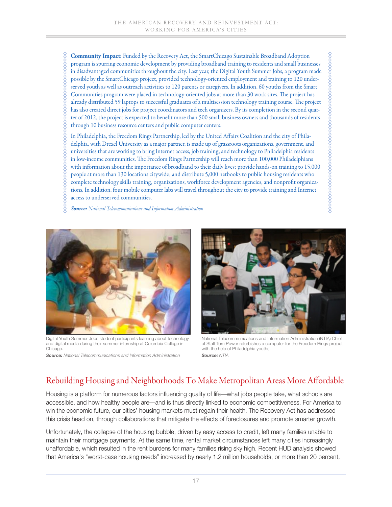**Community Impact:** Funded by the Recovery Act, the SmartChicago Sustainable Broadband Adoption program is spurring economic development by providing broadband training to residents and small businesses in disadvantaged communities throughout the city. Last year, the Digital Youth Summer Jobs, a program made possible by the SmartChicago project, provided technology-oriented employment and training to 120 underserved youth as well as outreach activities to 120 parents or caregivers. In addition, 60 youths from the Smart Communities program were placed in technology-oriented jobs at more than 30 work sites. The project has already distributed 59 laptops to successful graduates of a multisession technology training course. The project has also created direct jobs for project coordinators and tech organizers. By its completion in the second quarter of 2012, the project is expected to benefit more than 500 small business owners and thousands of residents through 10 business resource centers and public computer centers.

In Philadelphia, the Freedom Rings Partnership, led by the United Affairs Coalition and the city of Philadelphia, with Drexel University as a major partner, is made up of grassroots organizations, government, and universities that are working to bring Internet access, job training, and technology to Philadelphia residents in low-income communities. The Freedom Rings Partnership will reach more than 100,000 Philadelphians with information about the importance of broadband to their daily lives; provide hands-on training to 15,000 people at more than 130 locations citywide; and distribute 5,000 netbooks to public housing residents who complete technology skills training, organizations, workforce development agencies, and nonprofit organizations. In addition, four mobile computer labs will travel throughout the city to provide training and Internet access to underserved communities.

*Source: National Telecommunications and Information Administration*



Digital Youth Summer Jobs student participants learning about technology and digital media during their summer internship at Columbia College in Chicago.

*Source: National Telecommunications and Information Administration*



National Telecommunications and Information Administration (NTIA) Chief of Staff Tom Power refurbishes a computer for the Freedom Rings project with the help of Philadelphia youths. *Source: NTIA*

## Rebuilding Housing and Neighborhoods To Make Metropolitan Areas More Affordable

Housing is a platform for numerous factors influencing quality of life—what jobs people take, what schools are accessible, and how healthy people are—and is thus directly linked to economic competitiveness. For America to win the economic future, our cities' housing markets must regain their health. The Recovery Act has addressed this crisis head on, through collaborations that mitigate the effects of foreclosures and promote smarter growth.

Unfortunately, the collapse of the housing bubble, driven by easy access to credit, left many families unable to maintain their mortgage payments. At the same time, rental market circumstances left many cities increasingly unaffordable, which resulted in the rent burdens for many families rising sky high. Recent HUD analysis showed that America's "worst-case housing needs" increased by nearly 1.2 million households, or more than 20 percent,

17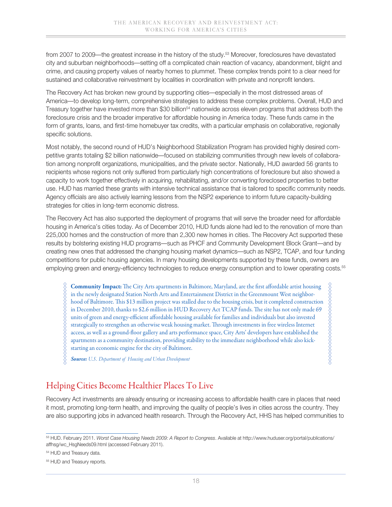from 2007 to 2009—the greatest increase in the history of the study.53 Moreover, foreclosures have devastated city and suburban neighborhoods—setting off a complicated chain reaction of vacancy, abandonment, blight and crime, and causing property values of nearby homes to plummet. These complex trends point to a clear need for sustained and collaborative reinvestment by localities in coordination with private and nonprofit lenders.

The Recovery Act has broken new ground by supporting cities—especially in the most distressed areas of America—to develop long-term, comprehensive strategies to address these complex problems. Overall, HUD and Treasury together have invested more than \$30 billion<sup>54</sup> nationwide across eleven programs that address both the foreclosure crisis and the broader imperative for affordable housing in America today. These funds came in the form of grants, loans, and first-time homebuyer tax credits, with a particular emphasis on collaborative, regionally specific solutions.

Most notably, the second round of HUD's Neighborhood Stabilization Program has provided highly desired competitive grants totaling \$2 billion nationwide—focused on stabilizing communities through new levels of collaboration among nonprofit organizations, municipalities, and the private sector. Nationally, HUD awarded 56 grants to recipients whose regions not only suffered from particularly high concentrations of foreclosure but also showed a capacity to work together effectively in acquiring, rehabilitating, and/or converting foreclosed properties to better use. HUD has married these grants with intensive technical assistance that is tailored to specific community needs. Agency officials are also actively learning lessons from the NSP2 experience to inform future capacity-building strategies for cities in long-term economic distress.

The Recovery Act has also supported the deployment of programs that will serve the broader need for affordable housing in America's cities today. As of December 2010, HUD funds alone had led to the renovation of more than 225,000 homes and the construction of more than 2,300 new homes in cities. The Recovery Act supported these results by bolstering existing HUD programs—such as PHCF and Community Development Block Grant—and by creating new ones that addressed the changing housing market dynamics—such as NSP2, TCAP, and four funding competitions for public housing agencies. In many housing developments supported by these funds, owners are employing green and energy-efficiency technologies to reduce energy consumption and to lower operating costs.55

**Community Impact:** The City Arts apartments in Baltimore, Maryland, are the first affordable artist housing ,,,,,,,,,,,,,,,,,,,,,,,,,,,,,, in the newly designated Station North Arts and Entertainment District in the Greenmount West neighborhood of Baltimore. This \$13 million project was stalled due to the housing crisis, but it completed construction in December 2010, thanks to \$2.6 million in HUD Recovery Act TCAP funds. The site has not only made 69 units of green and energy-efficient affordable housing available for families and individuals but also invested strategically to strengthen an otherwise weak housing market. Through investments in free wireless Internet access, as well as a ground-floor gallery and arts performance space, City Arts' developers have established the apartments as a community destination, providing stability to the immediate neighborhood while also kickstarting an economic engine for the city of Baltimore.

*Source: U.S. Department of Housing and Urban Development*

### Helping Cities Become Healthier Places To Live

Recovery Act investments are already ensuring or increasing access to affordable health care in places that need it most, promoting long-term health, and improving the quality of people's lives in cities across the country. They are also supporting jobs in advanced health research. Through the Recovery Act, HHS has helped communities to

54 HUD and Treasury data.

<sup>53</sup> HUD. February 2011. *Worst Case Housing Needs 2009: A Report to Congress*. Available at http://www.huduser.org/portal/publications/ affhsg/wc\_HsgNeeds09.html (accessed February 2011).

<sup>&</sup>lt;sup>55</sup> HUD and Treasury reports.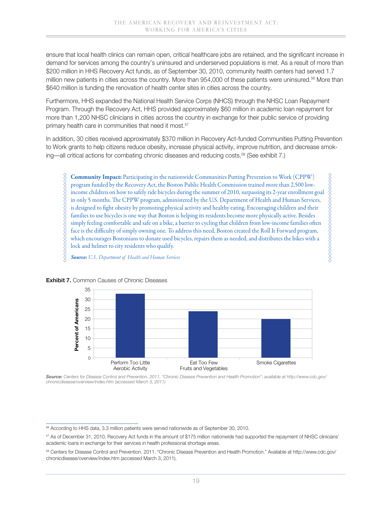ensure that local health clinics can remain open, critical healthcare jobs are retained, and the significant increase in demand for services among the country's uninsured and underserved populations is met. As a result of more than \$200 million in HHS Recovery Act funds, as of September 30, 2010, community health centers had served 1.7 million new patients in cities across the country. More than 954,000 of these patients were uninsured.<sup>56</sup> More than \$640 million is funding the renovation of health center sites in cities across the country.

Furthermore, HHS expanded the National Health Service Corps (NHCS) through the NHSC Loan Repayment Program. Through the Recovery Act, HHS provided approximately \$60 million in academic loan repayment for more than 1,200 NHSC clinicians in cities across the country in exchange for their public service of providing primary health care in communities that need it most.<sup>57</sup>

In addition, 30 cities received approximately \$370 million in Recovery Act-funded Communities Putting Prevention to Work grants to help citizens reduce obesity, increase physical activity, improve nutrition, and decrease smoking—all critical actions for combating chronic diseases and reducing costs.58 (See exhibit 7.)

**Community Impact:** Participating in the nationwide Communities Putting Prevention to Work (CPPW) program funded by the Recovery Act, the Boston Public Health Commission trained more than 2,500 lowincome children on how to safely ride bicycles during the summer of 2010, surpassing its 2-year enrollment goal in only 5 months. The CPPW program, administered by the U.S. Department of Health and Human Services, is designed to fight obesity by promoting physical activity and healthy eating. Encouraging children and their families to use bicycles is one way that Boston is helping its residents become more physically active. Besides simply feeling comfortable and safe on a bike, a barrier to cycling that children from low-income families often face is the difficulty of simply owning one. To address this need, Boston created the Roll It Forward program, which encourages Bostonians to donate used bicycles, repairs them as needed, and distributes the bikes with a lock and helmet to city residents who qualify.

%%%%%%%%%%%%%%%%%%

*Source: U.S. Department of Health and Human Services*



#### **Exhibit 7.** Common Causes of Chronic Diseases

*Source: Centers for Disease Control and Prevention, 2011, "Chronic Disease Prevention and Health Promotion"; available at http://www.cdc.gov/ chronicdisease/overview/index.htm (accessed March 3, 2011)*

<sup>56</sup> According to HHS data, 3.3 million patients were served nationwide as of September 30, 2010.

<sup>57</sup> As of December 31, 2010, Recovery Act funds in the amount of \$175 million nationwide had supported the repayment of NHSC clinicians' academic loans in exchange for their services in health professional shortage areas.

<sup>58</sup> Centers for Disease Control and Prevention. 2011. "Chronic Disease Prevention and Health Promotion." Available at http://www.cdc.gov/ chronicdisease/overview/index.htm (accessed March 3, 2011).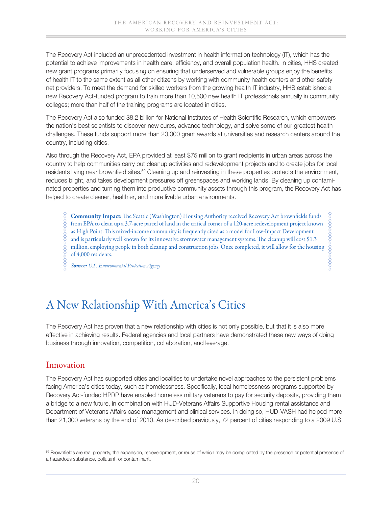The Recovery Act included an unprecedented investment in health information technology (IT), which has the potential to achieve improvements in health care, efficiency, and overall population health. In cities, HHS created new grant programs primarily focusing on ensuring that underserved and vulnerable groups enjoy the benefits of health IT to the same extent as all other citizens by working with community health centers and other safety net providers. To meet the demand for skilled workers from the growing health IT industry, HHS established a new Recovery Act-funded program to train more than 10,500 new health IT professionals annually in community colleges; more than half of the training programs are located in cities.

The Recovery Act also funded \$8.2 billion for National Institutes of Health Scientific Research, which empowers the nation's best scientists to discover new cures, advance technology, and solve some of our greatest health challenges. These funds support more than 20,000 grant awards at universities and research centers around the country, including cities.

Also through the Recovery Act, EPA provided at least \$75 million to grant recipients in urban areas across the country to help communities carry out cleanup activities and redevelopment projects and to create jobs for local residents living near brownfield sites.59 Cleaning up and reinvesting in these properties protects the environment, reduces blight, and takes development pressures off greenspaces and working lands. By cleaning up contaminated properties and turning them into productive community assets through this program, the Recovery Act has helped to create cleaner, healthier, and more livable urban environments.

**Community Impact:** The Seattle (Washington) Housing Authority received Recovery Act brownfields funds ,,,,,,,,,,,,,,,,,,,,,,, from EPA to clean up a 3.7-acre parcel of land in the critical corner of a 120-acre redevelopment project known as High Point. This mixed-income community is frequently cited as a model for Low-Impact Development and is particularly well known for its innovative stormwater management systems. The cleanup will cost \$1.3 million, employing people in both cleanup and construction jobs. Once completed, it will allow for the housing of 4,000 residents.

*Source: U.S. Environmental Protection Agency*

# A New Relationship With America's Cities

The Recovery Act has proven that a new relationship with cities is not only possible, but that it is also more effective in achieving results. Federal agencies and local partners have demonstrated these new ways of doing business through innovation, competition, collaboration, and leverage.

### Innovation

The Recovery Act has supported cities and localities to undertake novel approaches to the persistent problems facing America's cities today, such as homelessness. Specifically, local homelessness programs supported by Recovery Act-funded HPRP have enabled homeless military veterans to pay for security deposits, providing them a bridge to a new future, in combination with HUD-Veterans Affairs Supportive Housing rental assistance and Department of Veterans Affairs case management and clinical services. In doing so, HUD-VASH had helped more than 21,000 veterans by the end of 2010. As described previously, 72 percent of cities responding to a 2009 U.S.

<sup>59</sup> Brownfields are real property, the expansion, redevelopment, or reuse of which may be complicated by the presence or potential presence of a hazardous substance, pollutant, or contaminant.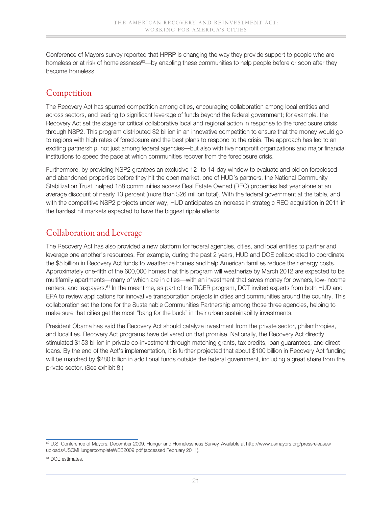Conference of Mayors survey reported that HPRP is changing the way they provide support to people who are homeless or at risk of homelessness<sup>60</sup>—by enabling these communities to help people before or soon after they become homeless.

## **Competition**

The Recovery Act has spurred competition among cities, encouraging collaboration among local entities and across sectors, and leading to significant leverage of funds beyond the federal government; for example, the Recovery Act set the stage for critical collaborative local and regional action in response to the foreclosure crisis through NSP2. This program distributed \$2 billion in an innovative competition to ensure that the money would go to regions with high rates of foreclosure and the best plans to respond to the crisis. The approach has led to an exciting partnership, not just among federal agencies—but also with five nonprofit organizations and major financial institutions to speed the pace at which communities recover from the foreclosure crisis.

Furthermore, by providing NSP2 grantees an exclusive 12- to 14-day window to evaluate and bid on foreclosed and abandoned properties before they hit the open market, one of HUD's partners, the National Community Stabilization Trust, helped 188 communities access Real Estate Owned (REO) properties last year alone at an average discount of nearly 13 percent (more than \$26 million total). With the federal government at the table, and with the competitive NSP2 projects under way, HUD anticipates an increase in strategic REO acquisition in 2011 in the hardest hit markets expected to have the biggest ripple effects.

## Collaboration and Leverage

The Recovery Act has also provided a new platform for federal agencies, cities, and local entities to partner and leverage one another's resources. For example, during the past 2 years, HUD and DOE collaborated to coordinate the \$5 billion in Recovery Act funds to weatherize homes and help American families reduce their energy costs. Approximately one-fifth of the 600,000 homes that this program will weatherize by March 2012 are expected to be multifamily apartments—many of which are in cities—with an investment that saves money for owners, low-income renters, and taxpayers.61 In the meantime, as part of the TIGER program, DOT invited experts from both HUD and EPA to review applications for innovative transportation projects in cities and communities around the country. This collaboration set the tone for the Sustainable Communities Partnership among those three agencies, helping to make sure that cities get the most "bang for the buck" in their urban sustainability investments.

President Obama has said the Recovery Act should catalyze investment from the private sector, philanthropies, and localities. Recovery Act programs have delivered on that promise. Nationally, the Recovery Act directly stimulated \$153 billion in private co-investment through matching grants, tax credits, loan guarantees, and direct loans. By the end of the Act's implementation, it is further projected that about \$100 billion in Recovery Act funding will be matched by \$280 billion in additional funds outside the federal government, including a great share from the private sector. (See exhibit 8.)

<sup>60</sup> U.S. Conference of Mayors. December 2009. Hunger and Homelessness Survey. Available at http://www.usmayors.org/pressreleases/ uploads/USCMHungercompleteWEB2009.pdf (accessed February 2011).

<sup>&</sup>lt;sup>61</sup> DOE estimates.